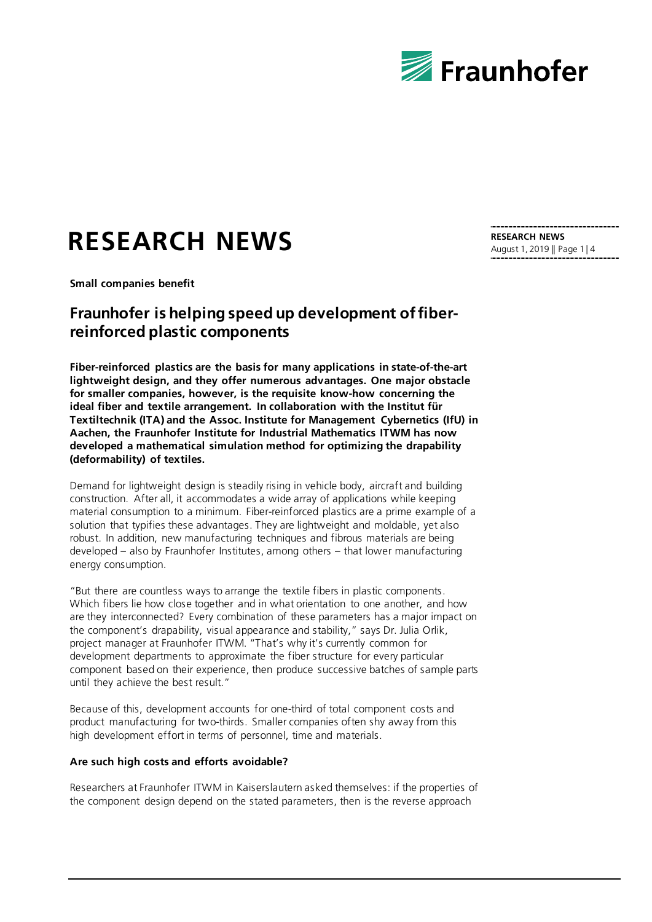

# **RESEARCH NEWS**

**Small companies benefit**

## **Fraunhofer is helping speed up development of fiberreinforced plastic components**

**Fiber-reinforced plastics are the basis for many applications in state-of-the-art lightweight design, and they offer numerous advantages. One major obstacle for smaller companies, however, is the requisite know-how concerning the ideal fiber and textile arrangement. In collaboration with the Institut für Textiltechnik (ITA) and the Assoc. Institute for Management Cybernetics (IfU) in Aachen, the Fraunhofer Institute for Industrial Mathematics ITWM has now developed a mathematical simulation method for optimizing the drapability (deformability) of textiles.**

Demand for lightweight design is steadily rising in vehicle body, aircraft and building construction. After all, it accommodates a wide array of applications while keeping material consumption to a minimum. Fiber-reinforced plastics are a prime example of a solution that typifies these advantages. They are lightweight and moldable, yet also robust. In addition, new manufacturing techniques and fibrous materials are being developed – also by Fraunhofer Institutes, among others – that lower manufacturing energy consumption.

"But there are countless ways to arrange the textile fibers in plastic components. Which fibers lie how close together and in what orientation to one another, and how are they interconnected? Every combination of these parameters has a major impact on the component's drapability, visual appearance and stability," says Dr. Julia Orlik, project manager at Fraunhofer ITWM. "That's why it's currently common for development departments to approximate the fiber structure for every particular component based on their experience, then produce successive batches of sample parts until they achieve the best result."

Because of this, development accounts for one-third of total component costs and product manufacturing for two-thirds. Smaller companies often shy away from this high development effort in terms of personnel, time and materials.

#### **Are such high costs and efforts avoidable?**

Researchers at Fraunhofer ITWM in Kaiserslautern asked themselves: if the properties of the component design depend on the stated parameters, then is the reverse approach

**RESEARCH NEWS** August 1, 2019 || Page 1 | 4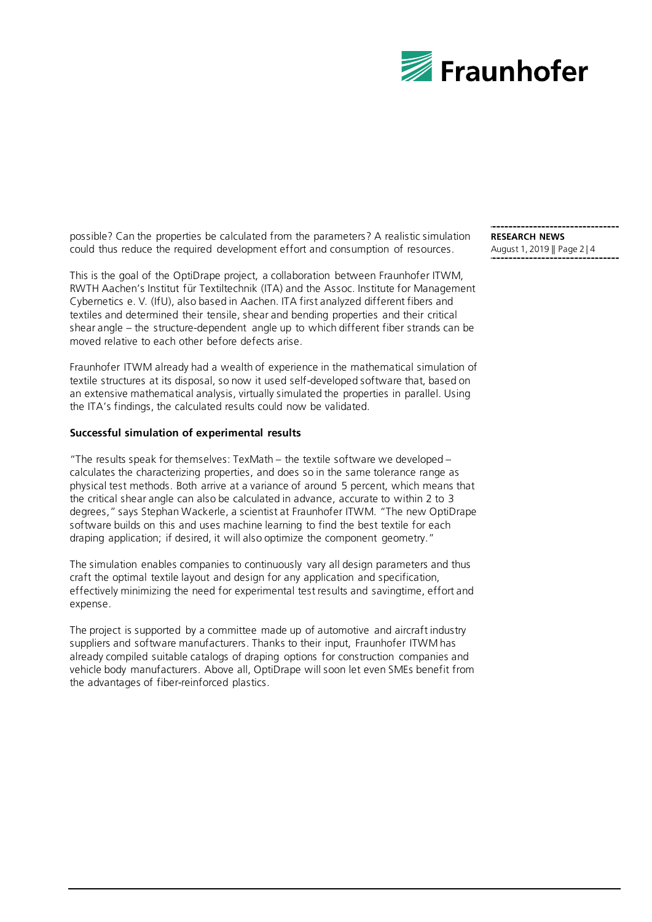

possible? Can the properties be calculated from the parameters? A realistic simulation could thus reduce the required development effort and consumption of resources.

This is the goal of the OptiDrape project, a collaboration between Fraunhofer ITWM, RWTH Aachen's Institut für Textiltechnik (ITA) and the Assoc. Institute for Management Cybernetics e. V. (IfU), also based in Aachen. ITA first analyzed different fibers and textiles and determined their tensile, shear and bending properties and their critical shear angle – the structure-dependent angle up to which different fiber strands can be moved relative to each other before defects arise.

Fraunhofer ITWM already had a wealth of experience in the mathematical simulation of textile structures at its disposal, so now it used self-developed software that, based on an extensive mathematical analysis, virtually simulated the properties in parallel. Using the ITA's findings, the calculated results could now be validated.

#### **Successful simulation of experimental results**

"The results speak for themselves: TexMath – the textile software we developed – calculates the characterizing properties, and does so in the same tolerance range as physical test methods. Both arrive at a variance of around 5 percent, which means that the critical shear angle can also be calculated in advance, accurate to within 2 to 3 degrees," says Stephan Wackerle, a scientist at Fraunhofer ITWM. "The new OptiDrape software builds on this and uses machine learning to find the best textile for each draping application; if desired, it will also optimize the component geometry."

The simulation enables companies to continuously vary all design parameters and thus craft the optimal textile layout and design for any application and specification, effectively minimizing the need for experimental test results and savingtime, effort and expense.

The project is supported by a committee made up of automotive and aircraft industry suppliers and software manufacturers. Thanks to their input, Fraunhofer ITWM has already compiled suitable catalogs of draping options for construction companies and vehicle body manufacturers. Above all, OptiDrape will soon let even SMEs benefit from the advantages of fiber-reinforced plastics.

**RESEARCH NEWS** August 1, 2019 || Page 2 | 4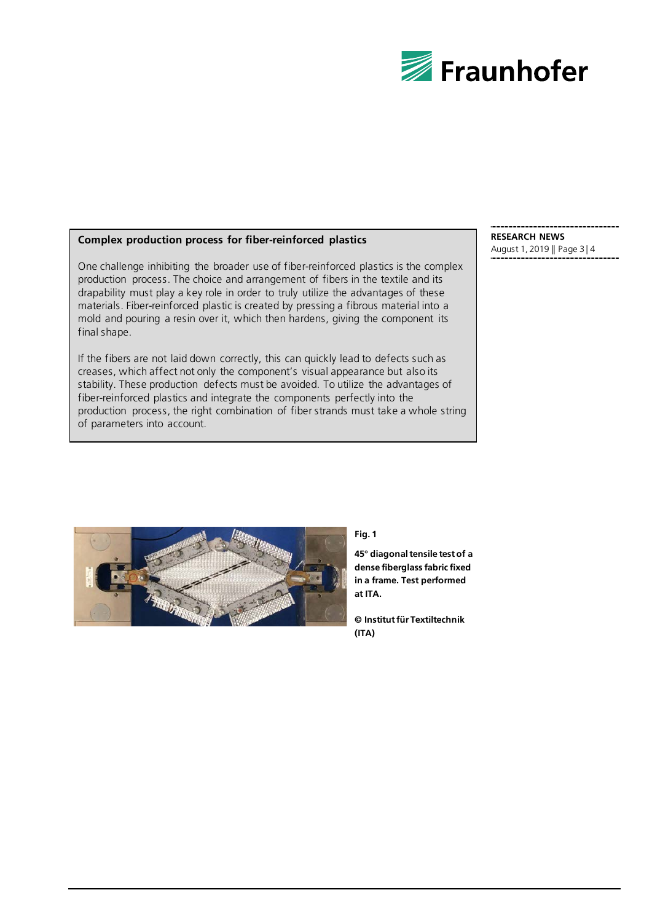

#### **Complex production process for fiber-reinforced plastics**

One challenge inhibiting the broader use of fiber-reinforced plastics is the complex production process. The choice and arrangement of fibers in the textile and its drapability must play a key role in order to truly utilize the advantages of these materials. Fiber-reinforced plastic is created by pressing a fibrous material into a mold and pouring a resin over it, which then hardens, giving the component its final shape.

If the fibers are not laid down correctly, this can quickly lead to defects such as creases, which affect not only the component's visual appearance but also its stability. These production defects must be avoided. To utilize the advantages of fiber-reinforced plastics and integrate the components perfectly into the production process, the right combination of fiber strands must take a whole string of parameters into account.

#### **RESEARCH NEWS** August 1, 2019 || Page 3 | 4



**Fig. 1** 

**45° diagonal tensile test of a dense fiberglass fabric fixed in a frame. Test performed at ITA.**

**© Institut für Textiltechnik (ITA)**